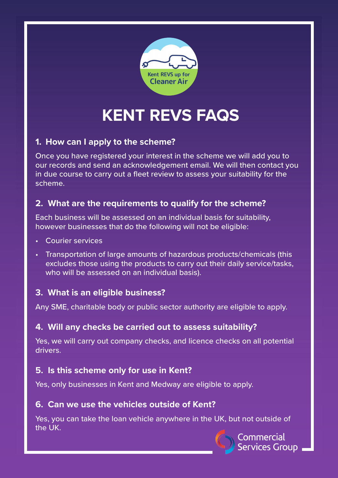

# **KENT REVS FAQS**

# **1. How can I apply to the scheme?**

Once you have registered your interest in the scheme we will add you to our records and send an acknowledgement email. We will then contact you in due course to carry out a fleet review to assess your suitability for the scheme.

# **2. What are the requirements to qualify for the scheme?**

Each business will be assessed on an individual basis for suitability, however businesses that do the following will not be eligible:

- Courier services
- Transportation of large amounts of hazardous products/chemicals (this excludes those using the products to carry out their daily service/tasks, who will be assessed on an individual basis).

# **3. What is an eligible business?**

Any SME, charitable body or public sector authority are eligible to apply.

# **4. Will any checks be carried out to assess suitability?**

Yes, we will carry out company checks, and licence checks on all potential drivers.

# **5. Is this scheme only for use in Kent?**

Yes, only businesses in Kent and Medway are eligible to apply.

### **6. Can we use the vehicles outside of Kent?**

Yes, you can take the loan vehicle anywhere in the UK, but not outside of the UK.

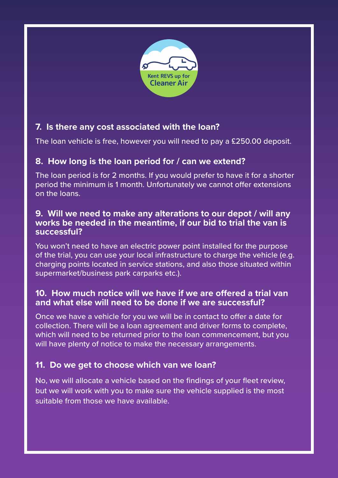

# **7. Is there any cost associated with the loan?**

The loan vehicle is free, however you will need to pay a £250.00 deposit.

# **8. How long is the loan period for / can we extend?**

The loan period is for 2 months. If you would prefer to have it for a shorter period the minimum is 1 month. Unfortunately we cannot offer extensions on the loans.

#### **9. Will we need to make any alterations to our depot / will any works be needed in the meantime, if our bid to trial the van is successful?**

You won't need to have an electric power point installed for the purpose of the trial, you can use your local infrastructure to charge the vehicle (e.g. charging points located in service stations, and also those situated within supermarket/business park carparks etc.).

### **10. How much notice will we have if we are offered a trial van and what else will need to be done if we are successful?**

Once we have a vehicle for you we will be in contact to offer a date for collection. There will be a loan agreement and driver forms to complete, which will need to be returned prior to the loan commencement, but you will have plenty of notice to make the necessary arrangements.

# **11. Do we get to choose which van we loan?**

No, we will allocate a vehicle based on the findings of your fleet review, but we will work with you to make sure the vehicle supplied is the most suitable from those we have available.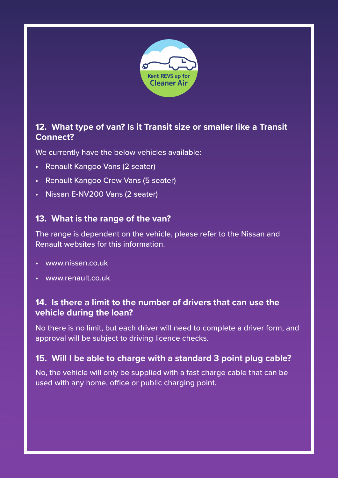

# **12. What type of van? Is it Transit size or smaller like a Transit Connect?**

We currently have the below vehicles available:

- Renault Kangoo Vans (2 seater)
- Renault Kangoo Crew Vans (5 seater)
- Nissan E-NV200 Vans (2 seater)

# **13. What is the range of the van?**

The range is dependent on the vehicle, please refer to the Nissan and Renault websites for this information.

- www.nissan.co.uk
- www.renault.co.uk

## **14. Is there a limit to the number of drivers that can use the vehicle during the loan?**

No there is no limit, but each driver will need to complete a driver form, and approval will be subject to driving licence checks.

# **15. Will I be able to charge with a standard 3 point plug cable?**

No, the vehicle will only be supplied with a fast charge cable that can be used with any home, office or public charging point.